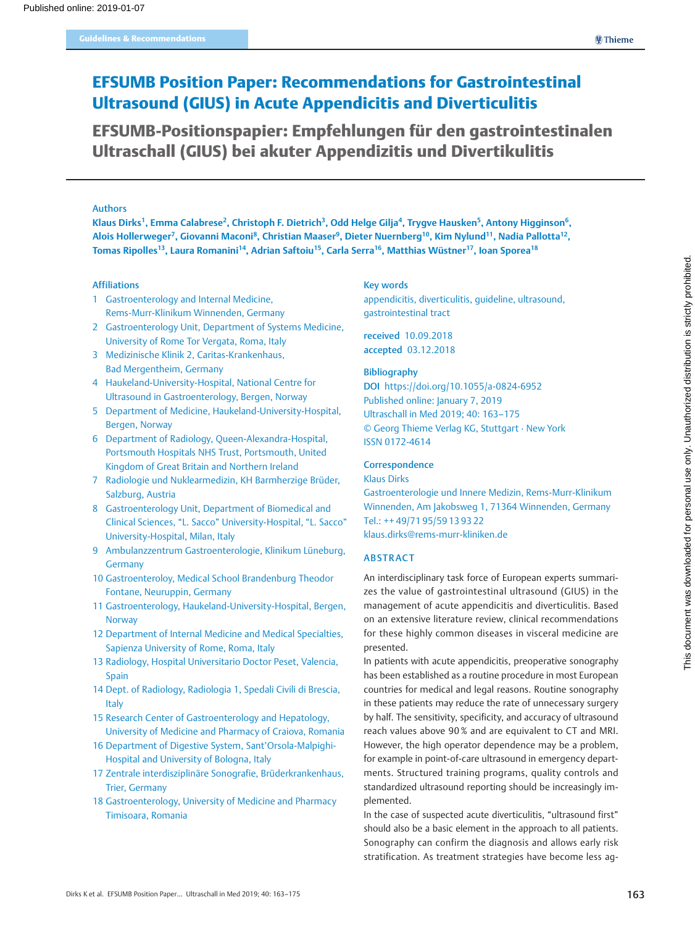# EFSUMB Position Paper: Recommendations for Gastrointestinal Ultrasound (GIUS) in Acute Appendicitis and Diverticulitis

EFSUMB-Positionspapier: Empfehlungen für den gastrointestinalen Ultraschall (GIUS) bei akuter Appendizitis und Divertikulitis

## Authors

Klaus Dirks<sup>1</sup>, Emma Calabrese<sup>2</sup>, Christoph F. Dietrich<sup>3</sup>, Odd Helge Gilia<sup>4</sup>, Trygye Hausken<sup>5</sup>, Antony Higginson<sup>6</sup>, Alois Hollerweger<sup>7</sup>, Giovanni Maconi<sup>8</sup>, Christian Maaser<sup>9</sup>, Dieter Nuernberg<sup>10</sup>, Kim Nylund<sup>11</sup>, Nadia Pallotta<sup>12</sup>, Tomas Ripolles<sup>13</sup>, Laura Romanini<sup>14</sup>, Adrian Saftoiu<sup>15</sup>, Carla Serra<sup>16</sup>, Matthias Wüstner<sup>17</sup>, Ioan Sporea<sup>18</sup>

#### Affiliations

- 1 Gastroenterology and Internal Medicine, Rems-Murr-Klinikum Winnenden, Germany
- 2 Gastroenterology Unit, Department of Systems Medicine, University of Rome Tor Vergata, Roma, Italy
- 3 Medizinische Klinik 2, Caritas-Krankenhaus, Bad Mergentheim, Germany
- 4 Haukeland-University-Hospital, National Centre for Ultrasound in Gastroenterology, Bergen, Norway
- 5 Department of Medicine, Haukeland-University-Hospital, Bergen, Norway
- 6 Department of Radiology, Queen-Alexandra-Hospital, Portsmouth Hospitals NHS Trust, Portsmouth, United Kingdom of Great Britain and Northern Ireland
- 7 Radiologie und Nuklearmedizin, KH Barmherzige Brüder, Salzburg, Austria
- 8 Gastroenterology Unit, Department of Biomedical and Clinical Sciences, "L. Sacco" University-Hospital, "L. Sacco" University-Hospital, Milan, Italy
- 9 Ambulanzzentrum Gastroenterologie, Klinikum Lüneburg, Germany
- 10 Gastroenteroloy, Medical School Brandenburg Theodor Fontane, Neuruppin, Germany
- 11 Gastroenterology, Haukeland-University-Hospital, Bergen, **Norway**
- 12 Department of Internal Medicine and Medical Specialties, Sapienza University of Rome, Roma, Italy
- 13 Radiology, Hospital Universitario Doctor Peset, Valencia, Spain
- 14 Dept. of Radiology, Radiologia 1, Spedali Civili di Brescia, Italy
- 15 Research Center of Gastroenterology and Hepatology, University of Medicine and Pharmacy of Craiova, Romania
- 16 Department of Digestive System, Sant'Orsola-Malpighi-Hospital and University of Bologna, Italy
- 17 Zentrale interdisziplinäre Sonografie, Brüderkrankenhaus, Trier, Germany
- 18 Gastroenterology, University of Medicine and Pharmacy Timisoara, Romania

#### Key words

appendicitis, diverticulitis, guideline, ultrasound, gastrointestinal tract

received 10.09.2018 accepted 03.12.2018

### Bibliography

DOI https://doi.org/10.1055/a-0824-6952 Published online: January 7, 2019 Ultraschall in Med 2019; 40: 163–175 © Georg Thieme Verlag KG, Stuttgart · New York ISSN 0172-4614

# **Correspondence**

#### Klaus Dirks

Gastroenterologie und Innere Medizin, Rems-Murr-Klinikum Winnenden, Am Jakobsweg 1, 71364 Winnenden, Germany Tel.: ++ 49/71 95/59 13 93 22 klaus.dirks@rems-murr-kliniken.de

## ABSTRACT

An interdisciplinary task force of European experts summarizes the value of gastrointestinal ultrasound (GIUS) in the management of acute appendicitis and diverticulitis. Based on an extensive literature review, clinical recommendations for these highly common diseases in visceral medicine are presented.

In patients with acute appendicitis, preoperative sonography has been established as a routine procedure in most European countries for medical and legal reasons. Routine sonography in these patients may reduce the rate of unnecessary surgery by half. The sensitivity, specificity, and accuracy of ultrasound reach values above 90 % and are equivalent to CT and MRI. However, the high operator dependence may be a problem, for example in point-of-care ultrasound in emergency departments. Structured training programs, quality controls and standardized ultrasound reporting should be increasingly implemented.

In the case of suspected acute diverticulitis, "ultrasound first" should also be a basic element in the approach to all patients. Sonography can confirm the diagnosis and allows early risk stratification. As treatment strategies have become less ag-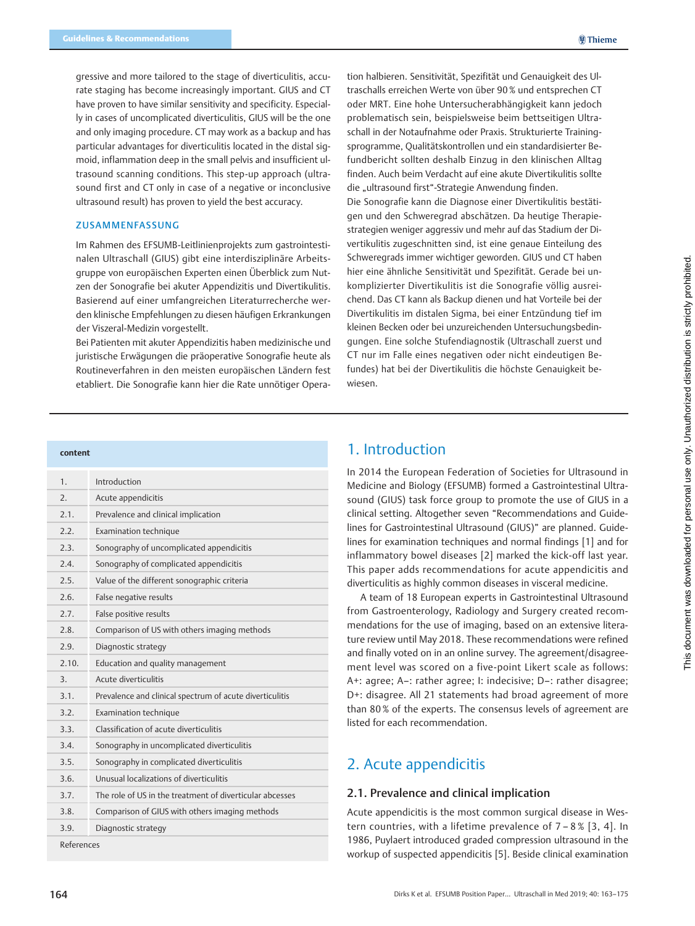gressive and more tailored to the stage of diverticulitis, accurate staging has become increasingly important. GIUS and CT have proven to have similar sensitivity and specificity. Especially in cases of uncomplicated diverticulitis, GIUS will be the one and only imaging procedure. CT may work as a backup and has particular advantages for diverticulitis located in the distal sigmoid, inflammation deep in the small pelvis and insufficient ultrasound scanning conditions. This step-up approach (ultrasound first and CT only in case of a negative or inconclusive ultrasound result) has proven to yield the best accuracy.

#### ZUSAMMENFASSUNG

Im Rahmen des EFSUMB-Leitlinienprojekts zum gastrointestinalen Ultraschall (GIUS) gibt eine interdisziplinäre Arbeitsgruppe von europäischen Experten einen Überblick zum Nutzen der Sonografie bei akuter Appendizitis und Divertikulitis. Basierend auf einer umfangreichen Literaturrecherche werden klinische Empfehlungen zu diesen häufigen Erkrankungen der Viszeral-Medizin vorgestellt.

Bei Patienten mit akuter Appendizitis haben medizinische und juristische Erwägungen die präoperative Sonografie heute als Routineverfahren in den meisten europäischen Ländern fest etabliert. Die Sonografie kann hier die Rate unnötiger Opera-

tion halbieren. Sensitivität, Spezifität und Genauigkeit des Ultraschalls erreichen Werte von über 90 % und entsprechen CT oder MRT. Eine hohe Untersucherabhängigkeit kann jedoch problematisch sein, beispielsweise beim bettseitigen Ultraschall in der Notaufnahme oder Praxis. Strukturierte Trainingsprogramme, Qualitätskontrollen und ein standardisierter Befundbericht sollten deshalb Einzug in den klinischen Alltag finden. Auch beim Verdacht auf eine akute Divertikulitis sollte die "ultrasound first"-Strategie Anwendung finden.

Die Sonografie kann die Diagnose einer Divertikulitis bestätigen und den Schweregrad abschätzen. Da heutige Therapiestrategien weniger aggressiv und mehr auf das Stadium der Divertikulitis zugeschnitten sind, ist eine genaue Einteilung des Schweregrads immer wichtiger geworden. GIUS und CT haben hier eine ähnliche Sensitivität und Spezifität. Gerade bei unkomplizierter Divertikulitis ist die Sonografie völlig ausreichend. Das CT kann als Backup dienen und hat Vorteile bei der Divertikulitis im distalen Sigma, bei einer Entzündung tief im kleinen Becken oder bei unzureichenden Untersuchungsbedingungen. Eine solche Stufendiagnostik (Ultraschall zuerst und CT nur im Falle eines negativen oder nicht eindeutigen Befundes) hat bei der Divertikulitis die höchste Genauigkeit bewiesen.

#### content

| 1.               | Introduction                                             |  |  |
|------------------|----------------------------------------------------------|--|--|
| $\overline{2}$ . | Acute appendicitis                                       |  |  |
| 2.1.             | Prevalence and clinical implication                      |  |  |
| 2.2.             | Examination technique                                    |  |  |
| 2.3.             | Sonography of uncomplicated appendicitis                 |  |  |
| 2.4.             | Sonography of complicated appendicitis                   |  |  |
| 2.5.             | Value of the different sonographic criteria              |  |  |
| 2.6.             | False negative results                                   |  |  |
| 2.7.             | False positive results                                   |  |  |
| 2.8.             | Comparison of US with others imaging methods             |  |  |
| 7.9.             | Diagnostic strategy                                      |  |  |
| 2.10.            | Education and quality management                         |  |  |
| $\overline{3}$ . | Acute diverticulitis                                     |  |  |
| 3.1.             | Prevalence and clinical spectrum of acute diverticulitis |  |  |
| 3.2.             | Examination technique                                    |  |  |
| 3.3.             | Classification of acute diverticulitis                   |  |  |
| 3.4.             | Sonography in uncomplicated diverticulitis               |  |  |
| 3.5.             | Sonography in complicated diverticulitis                 |  |  |
| 3.6.             | Unusual localizations of diverticulitis                  |  |  |
| 3.7.             | The role of US in the treatment of diverticular abcesses |  |  |
| 3.8.             | Comparison of GIUS with others imaging methods           |  |  |
| 3.9.             | Diagnostic strategy                                      |  |  |
| References       |                                                          |  |  |

# 1. Introduction

In 2014 the European Federation of Societies for Ultrasound in Medicine and Biology (EFSUMB) formed a Gastrointestinal Ultrasound (GIUS) task force group to promote the use of GIUS in a clinical setting. Altogether seven "Recommendations and Guidelines for Gastrointestinal Ultrasound (GIUS)" are planned. Guidelines for examination techniques and normal findings [1] and for inflammatory bowel diseases [2] marked the kick-off last year. This paper adds recommendations for acute appendicitis and diverticulitis as highly common diseases in visceral medicine.

A team of 18 European experts in Gastrointestinal Ultrasound from Gastroenterology, Radiology and Surgery created recommendations for the use of imaging, based on an extensive literature review until May 2018. These recommendations were refined and finally voted on in an online survey. The agreement/disagreement level was scored on a five-point Likert scale as follows: A+: agree; A–: rather agree; I: indecisive; D–: rather disagree; D+: disagree. All 21 statements had broad agreement of more than 80 % of the experts. The consensus levels of agreement are listed for each recommendation.

# 2. Acute appendicitis

## 2.1. Prevalence and clinical implication

Acute appendicitis is the most common surgical disease in Western countries, with a lifetime prevalence of 7 – 8 % [3, 4]. In 1986, Puylaert introduced graded compression ultrasound in the workup of suspected appendicitis [5]. Beside clinical examination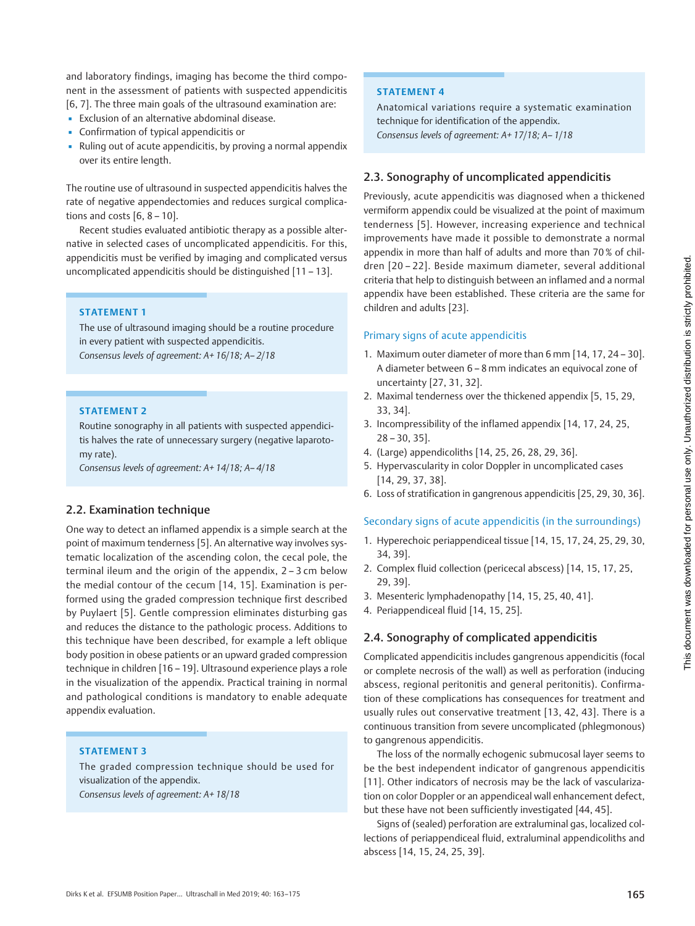and laboratory findings, imaging has become the third component in the assessment of patients with suspected appendicitis [6, 7]. The three main goals of the ultrasound examination are:

- Exclusion of an alternative abdominal disease.
- Confirmation of typical appendicitis or
- Ruling out of acute appendicitis, by proving a normal appendix over its entire length.

The routine use of ultrasound in suspected appendicitis halves the rate of negative appendectomies and reduces surgical complications and costs  $[6, 8 - 10]$ .

Recent studies evaluated antibiotic therapy as a possible alternative in selected cases of uncomplicated appendicitis. For this, appendicitis must be verified by imaging and complicated versus uncomplicated appendicitis should be distinguished [11 – 13].

### STATEMENT 1

The use of ultrasound imaging should be a routine procedure in every patient with suspected appendicitis. Consensus levels of agreement: A+ 16/18; A– 2/18

#### STATEMENT 2

Routine sonography in all patients with suspected appendicitis halves the rate of unnecessary surgery (negative laparotomy rate).

Consensus levels of agreement: A+ 14/18; A– 4/18

## 2.2. Examination technique

One way to detect an inflamed appendix is a simple search at the point of maximum tenderness [5]. An alternative way involves systematic localization of the ascending colon, the cecal pole, the terminal ileum and the origin of the appendix, 2 – 3 cm below the medial contour of the cecum [14, 15]. Examination is performed using the graded compression technique first described by Puylaert [5]. Gentle compression eliminates disturbing gas and reduces the distance to the pathologic process. Additions to this technique have been described, for example a left oblique body position in obese patients or an upward graded compression technique in children [16 – 19]. Ultrasound experience plays a role in the visualization of the appendix. Practical training in normal and pathological conditions is mandatory to enable adequate appendix evaluation.

## STATEMENT 3

The graded compression technique should be used for visualization of the appendix. Consensus levels of agreement: A+ 18/18

#### STATEMENT 4

Anatomical variations require a systematic examination technique for identification of the appendix. Consensus levels of agreement: A+ 17/18; A– 1/18

## 2.3. Sonography of uncomplicated appendicitis

Previously, acute appendicitis was diagnosed when a thickened vermiform appendix could be visualized at the point of maximum tenderness [5]. However, increasing experience and technical improvements have made it possible to demonstrate a normal appendix in more than half of adults and more than 70 % of children [20 – 22]. Beside maximum diameter, several additional criteria that help to distinguish between an inflamed and a normal appendix have been established. These criteria are the same for children and adults [23].

#### Primary signs of acute appendicitis

- 1. Maximum outer diameter of more than 6 mm [14, 17, 24 30]. A diameter between 6 – 8 mm indicates an equivocal zone of uncertainty [27, 31, 32].
- 2. Maximal tenderness over the thickened appendix [5, 15, 29, 33, 34].
- 3. Incompressibility of the inflamed appendix [14, 17, 24, 25, 28 – 30, 35].
- 4. (Large) appendicoliths [14, 25, 26, 28, 29, 36].
- 5. Hypervascularity in color Doppler in uncomplicated cases [14, 29, 37, 38].
- 6. Loss of stratification in gangrenous appendicitis [25, 29, 30, 36].

## Secondary signs of acute appendicitis (in the surroundings)

- 1. Hyperechoic periappendiceal tissue [14, 15, 17, 24, 25, 29, 30, 34, 39].
- 2. Complex fluid collection (pericecal abscess) [14, 15, 17, 25, 29, 39].
- 3. Mesenteric lymphadenopathy [14, 15, 25, 40, 41].
- 4. Periappendiceal fluid [14, 15, 25].

#### 2.4. Sonography of complicated appendicitis

Complicated appendicitis includes gangrenous appendicitis (focal or complete necrosis of the wall) as well as perforation (inducing abscess, regional peritonitis and general peritonitis). Confirmation of these complications has consequences for treatment and usually rules out conservative treatment [13, 42, 43]. There is a continuous transition from severe uncomplicated (phlegmonous) to gangrenous appendicitis.

The loss of the normally echogenic submucosal layer seems to be the best independent indicator of gangrenous appendicitis [11]. Other indicators of necrosis may be the lack of vascularization on color Doppler or an appendiceal wall enhancement defect, but these have not been sufficiently investigated [44, 45].

Signs of (sealed) perforation are extraluminal gas, localized collections of periappendiceal fluid, extraluminal appendicoliths and abscess [14, 15, 24, 25, 39].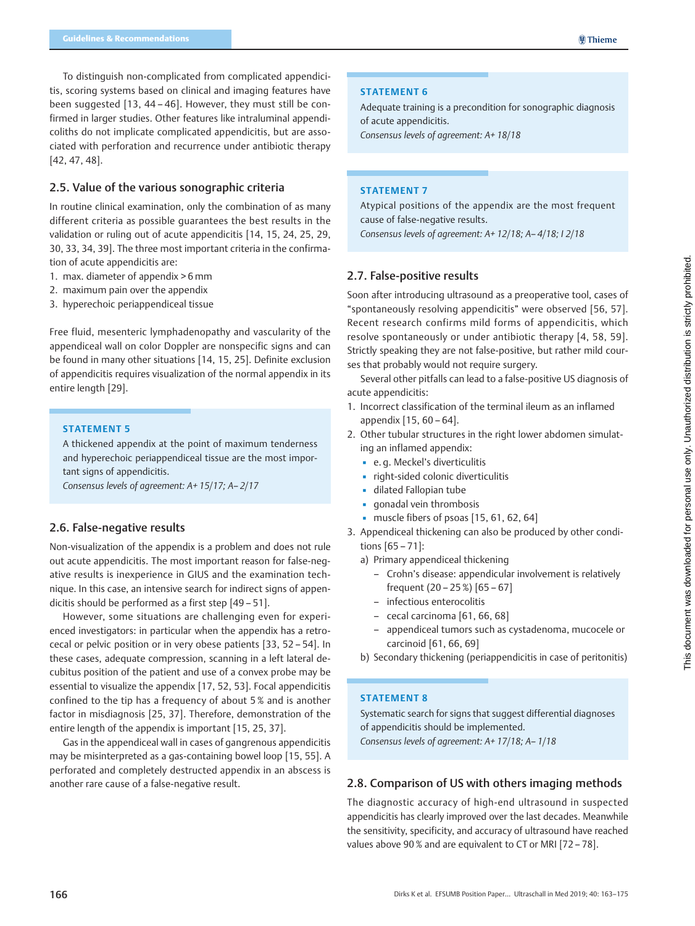To distinguish non-complicated from complicated appendicitis, scoring systems based on clinical and imaging features have been suggested [13, 44 – 46]. However, they must still be confirmed in larger studies. Other features like intraluminal appendicoliths do not implicate complicated appendicitis, but are associated with perforation and recurrence under antibiotic therapy [42, 47, 48].

# 2.5. Value of the various sonographic criteria

In routine clinical examination, only the combination of as many different criteria as possible guarantees the best results in the validation or ruling out of acute appendicitis [14, 15, 24, 25, 29, 30, 33, 34, 39]. The three most important criteria in the confirmation of acute appendicitis are:

- 1. max. diameter of appendix > 6 mm
- 2. maximum pain over the appendix
- 3. hyperechoic periappendiceal tissue

Free fluid, mesenteric lymphadenopathy and vascularity of the appendiceal wall on color Doppler are nonspecific signs and can be found in many other situations [14, 15, 25]. Definite exclusion of appendicitis requires visualization of the normal appendix in its entire length [29].

#### STATEMENT 5

A thickened appendix at the point of maximum tenderness and hyperechoic periappendiceal tissue are the most important signs of appendicitis.

Consensus levels of agreement: A+ 15/17; A– 2/17

# 2.6. False-negative results

Non-visualization of the appendix is a problem and does not rule out acute appendicitis. The most important reason for false-negative results is inexperience in GIUS and the examination technique. In this case, an intensive search for indirect signs of appendicitis should be performed as a first step [49 – 51].

However, some situations are challenging even for experienced investigators: in particular when the appendix has a retrocecal or pelvic position or in very obese patients [33, 52 – 54]. In these cases, adequate compression, scanning in a left lateral decubitus position of the patient and use of a convex probe may be essential to visualize the appendix [17, 52, 53]. Focal appendicitis confined to the tip has a frequency of about 5 % and is another factor in misdiagnosis [25, 37]. Therefore, demonstration of the entire length of the appendix is important [15, 25, 37].

Gas in the appendiceal wall in cases of gangrenous appendicitis may be misinterpreted as a gas-containing bowel loop [15, 55]. A perforated and completely destructed appendix in an abscess is another rare cause of a false-negative result.

#### STATEMENT 6

Adequate training is a precondition for sonographic diagnosis of acute appendicitis.

Consensus levels of agreement: A+ 18/18

#### STATEMENT 7

Atypical positions of the appendix are the most frequent cause of false-negative results. Consensus levels of agreement: A+ 12/18; A– 4/18; I 2/18

## 2.7. False-positive results

Soon after introducing ultrasound as a preoperative tool, cases of "spontaneously resolving appendicitis" were observed [56, 57]. Recent research confirms mild forms of appendicitis, which resolve spontaneously or under antibiotic therapy [4, 58, 59]. Strictly speaking they are not false-positive, but rather mild courses that probably would not require surgery.

Several other pitfalls can lead to a false-positive US diagnosis of acute appendicitis:

- 1. Incorrect classification of the terminal ileum as an inflamed appendix [15, 60 – 64].
- 2. Other tubular structures in the right lower abdomen simulating an inflamed appendix:
	- e. g. Meckel's diverticulitis
	- right-sided colonic diverticulitis
	- dilated Fallopian tube
	- gonadal vein thrombosis
	- $\blacksquare$  muscle fibers of psoas [15, 61, 62, 64]
- 3. Appendiceal thickening can also be produced by other conditions [65 – 71]:

a) Primary appendiceal thickening

- Crohn's disease: appendicular involvement is relatively frequent (20 – 25 %) [65 – 67]
- infectious enterocolitis
- cecal carcinoma [61, 66, 68]
- appendiceal tumors such as cystadenoma, mucocele or carcinoid [61, 66, 69]
- b) Secondary thickening (periappendicitis in case of peritonitis)

## STATEMENT 8

Systematic search for signs that suggest differential diagnoses of appendicitis should be implemented. Consensus levels of agreement: A+ 17/18; A– 1/18

# 2.8. Comparison of US with others imaging methods

The diagnostic accuracy of high-end ultrasound in suspected appendicitis has clearly improved over the last decades. Meanwhile the sensitivity, specificity, and accuracy of ultrasound have reached values above 90 % and are equivalent to CT or MRI [72 – 78].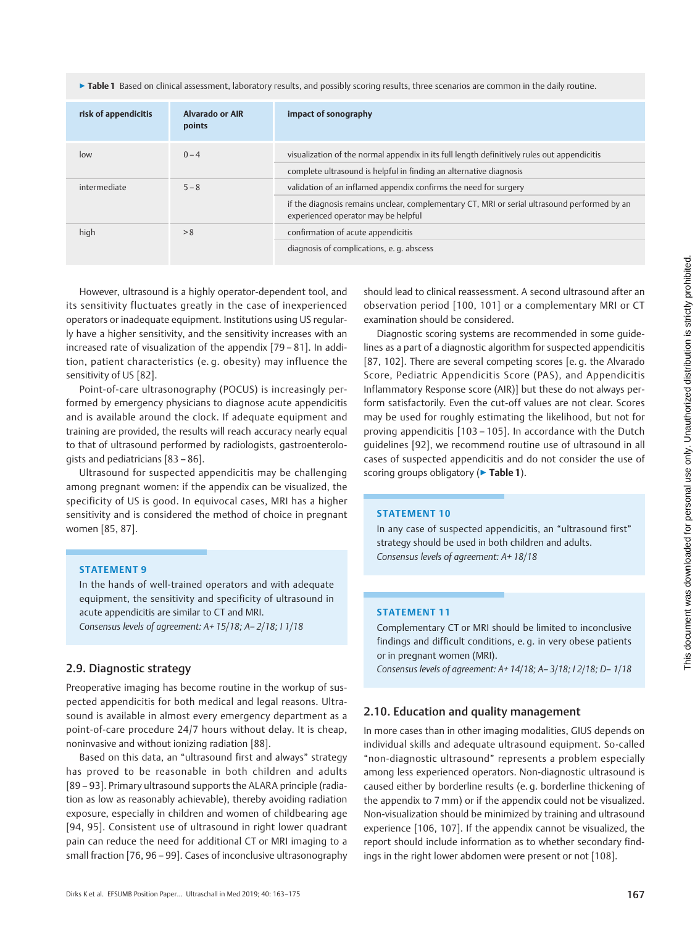▶ Table 1 Based on clinical assessment, laboratory results, and possibly scoring results, three scenarios are common in the daily routine.

| risk of appendicitis | Alvarado or AIR<br>points | impact of sonography                                                                                                                                              |
|----------------------|---------------------------|-------------------------------------------------------------------------------------------------------------------------------------------------------------------|
| low                  | $0 - 4$                   | visualization of the normal appendix in its full length definitively rules out appendicitis<br>complete ultrasound is helpful in finding an alternative diagnosis |
|                      |                           |                                                                                                                                                                   |
| intermediate         | $5 - 8$                   | validation of an inflamed appendix confirms the need for surgery                                                                                                  |
|                      |                           | if the diagnosis remains unclear, complementary CT, MRI or serial ultrasound performed by an<br>experienced operator may be helpful                               |
| high                 | > 8                       | confirmation of acute appendicitis                                                                                                                                |
|                      |                           | diagnosis of complications, e. q. abscess                                                                                                                         |

However, ultrasound is a highly operator-dependent tool, and its sensitivity fluctuates greatly in the case of inexperienced operators or inadequate equipment. Institutions using US regularly have a higher sensitivity, and the sensitivity increases with an increased rate of visualization of the appendix [79 – 81]. In addition, patient characteristics (e. g. obesity) may influence the sensitivity of US [82].

Point-of-care ultrasonography (POCUS) is increasingly performed by emergency physicians to diagnose acute appendicitis and is available around the clock. If adequate equipment and training are provided, the results will reach accuracy nearly equal to that of ultrasound performed by radiologists, gastroenterologists and pediatricians [83 – 86].

Ultrasound for suspected appendicitis may be challenging among pregnant women: if the appendix can be visualized, the specificity of US is good. In equivocal cases, MRI has a higher sensitivity and is considered the method of choice in pregnant women [85, 87].

### STATEMENT 9

In the hands of well-trained operators and with adequate equipment, the sensitivity and specificity of ultrasound in acute appendicitis are similar to CT and MRI. Consensus levels of agreement: A+ 15/18; A– 2/18; I 1/18

## 2.9. Diagnostic strategy

Preoperative imaging has become routine in the workup of suspected appendicitis for both medical and legal reasons. Ultrasound is available in almost every emergency department as a point-of-care procedure 24/7 hours without delay. It is cheap, noninvasive and without ionizing radiation [88].

Based on this data, an "ultrasound first and always" strategy has proved to be reasonable in both children and adults [89 – 93]. Primary ultrasound supports the ALARA principle (radiation as low as reasonably achievable), thereby avoiding radiation exposure, especially in children and women of childbearing age [94, 95]. Consistent use of ultrasound in right lower quadrant pain can reduce the need for additional CT or MRI imaging to a small fraction [76, 96 – 99]. Cases of inconclusive ultrasonography

should lead to clinical reassessment. A second ultrasound after an observation period [100, 101] or a complementary MRI or CT examination should be considered.

Diagnostic scoring systems are recommended in some guidelines as a part of a diagnostic algorithm for suspected appendicitis [87, 102]. There are several competing scores [e. g. the Alvarado Score, Pediatric Appendicitis Score (PAS), and Appendicitis Inflammatory Response score (AIR)] but these do not always perform satisfactorily. Even the cut-off values are not clear. Scores may be used for roughly estimating the likelihood, but not for proving appendicitis [103 – 105]. In accordance with the Dutch guidelines [92], we recommend routine use of ultrasound in all cases of suspected appendicitis and do not consider the use of scoring groups obligatory (▶ Table 1).

#### STATEMENT 10

In any case of suspected appendicitis, an "ultrasound first" strategy should be used in both children and adults. Consensus levels of agreement: A+ 18/18

## STATEMENT 11

Complementary CT or MRI should be limited to inconclusive findings and difficult conditions, e. g. in very obese patients or in pregnant women (MRI).

Consensus levels of agreement: A+ 14/18; A– 3/18; I 2/18; D– 1/18

## 2.10. Education and quality management

In more cases than in other imaging modalities, GIUS depends on individual skills and adequate ultrasound equipment. So-called "non-diagnostic ultrasound" represents a problem especially among less experienced operators. Non-diagnostic ultrasound is caused either by borderline results (e. g. borderline thickening of the appendix to 7 mm) or if the appendix could not be visualized. Non-visualization should be minimized by training and ultrasound experience [106, 107]. If the appendix cannot be visualized, the report should include information as to whether secondary findings in the right lower abdomen were present or not [108].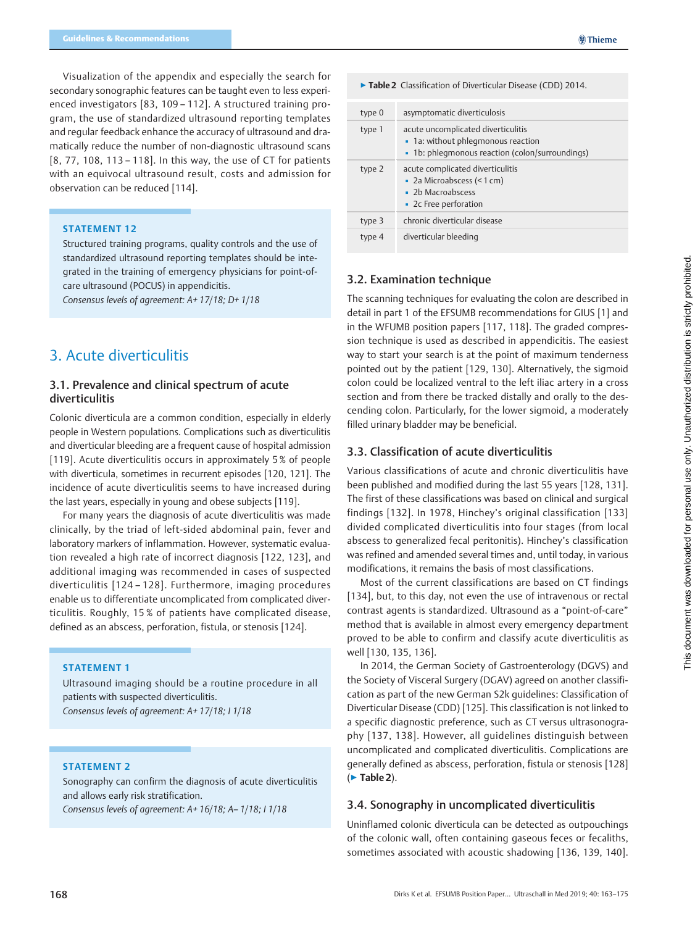Visualization of the appendix and especially the search for secondary sonographic features can be taught even to less experienced investigators [83, 109 – 112]. A structured training program, the use of standardized ultrasound reporting templates and regular feedback enhance the accuracy of ultrasound and dramatically reduce the number of non-diagnostic ultrasound scans [8, 77, 108, 113 – 118]. In this way, the use of CT for patients with an equivocal ultrasound result, costs and admission for observation can be reduced [114].

#### STATEMENT 12

Structured training programs, quality controls and the use of standardized ultrasound reporting templates should be integrated in the training of emergency physicians for point-ofcare ultrasound (POCUS) in appendicitis. Consensus levels of agreement: A+ 17/18; D+ 1/18

# 3. Acute diverticulitis

## 3.1. Prevalence and clinical spectrum of acute diverticulitis

Colonic diverticula are a common condition, especially in elderly people in Western populations. Complications such as diverticulitis and diverticular bleeding are a frequent cause of hospital admission [119]. Acute diverticulitis occurs in approximately 5 % of people with diverticula, sometimes in recurrent episodes [120, 121]. The incidence of acute diverticulitis seems to have increased during the last years, especially in young and obese subjects [119].

For many years the diagnosis of acute diverticulitis was made clinically, by the triad of left-sided abdominal pain, fever and laboratory markers of inflammation. However, systematic evaluation revealed a high rate of incorrect diagnosis [122, 123], and additional imaging was recommended in cases of suspected diverticulitis [124 – 128]. Furthermore, imaging procedures enable us to differentiate uncomplicated from complicated diverticulitis. Roughly, 15 % of patients have complicated disease, defined as an abscess, perforation, fistula, or stenosis [124].

## STATEMENT 1

Ultrasound imaging should be a routine procedure in all patients with suspected diverticulitis. Consensus levels of agreement: A+ 17/18; I 1/18

#### STATEMENT 2

Sonography can confirm the diagnosis of acute diverticulitis and allows early risk stratification. Consensus levels of agreement: A+ 16/18; A– 1/18; I 1/18

**@Thieme** 

| • Table 2 Classification of Diverticular Disease (CDD) 2014. |                                                                                                                             |  |  |  |
|--------------------------------------------------------------|-----------------------------------------------------------------------------------------------------------------------------|--|--|--|
| type 0                                                       | asymptomatic diverticulosis                                                                                                 |  |  |  |
| type 1                                                       | acute uncomplicated diverticulitis<br>• 1a: without phlegmonous reaction<br>• 1b: phlegmonous reaction (colon/surroundings) |  |  |  |
| type 2                                                       | acute complicated diverticulitis<br>• 2a Microabscess (< 1 cm)<br>$\Box$ 2b Macroabscess<br>• 2c Free perforation           |  |  |  |
| type 3                                                       | chronic diverticular disease                                                                                                |  |  |  |
| type 4                                                       | diverticular bleeding                                                                                                       |  |  |  |

## 3.2. Examination technique

The scanning techniques for evaluating the colon are described in detail in part 1 of the EFSUMB recommendations for GIUS [1] and in the WFUMB position papers [117, 118]. The graded compression technique is used as described in appendicitis. The easiest way to start your search is at the point of maximum tenderness pointed out by the patient [129, 130]. Alternatively, the sigmoid colon could be localized ventral to the left iliac artery in a cross section and from there be tracked distally and orally to the descending colon. Particularly, for the lower sigmoid, a moderately filled urinary bladder may be beneficial.

## 3.3. Classification of acute diverticulitis

Various classifications of acute and chronic diverticulitis have been published and modified during the last 55 years [128, 131]. The first of these classifications was based on clinical and surgical findings [132]. In 1978, Hinchey's original classification [133] divided complicated diverticulitis into four stages (from local abscess to generalized fecal peritonitis). Hinchey's classification was refined and amended several times and, until today, in various modifications, it remains the basis of most classifications.

Most of the current classifications are based on CT findings [134], but, to this day, not even the use of intravenous or rectal contrast agents is standardized. Ultrasound as a "point-of-care" method that is available in almost every emergency department proved to be able to confirm and classify acute diverticulitis as well [130, 135, 136].

In 2014, the German Society of Gastroenterology (DGVS) and the Society of Visceral Surgery (DGAV) agreed on another classification as part of the new German S2k guidelines: Classification of Diverticular Disease (CDD) [125]. This classification is not linked to a specific diagnostic preference, such as CT versus ultrasonography [137, 138]. However, all guidelines distinguish between uncomplicated and complicated diverticulitis. Complications are generally defined as abscess, perforation, fistula or stenosis [128] (▶ Table 2).

#### 3.4. Sonography in uncomplicated diverticulitis

Uninflamed colonic diverticula can be detected as outpouchings of the colonic wall, often containing gaseous feces or fecaliths, sometimes associated with acoustic shadowing [136, 139, 140].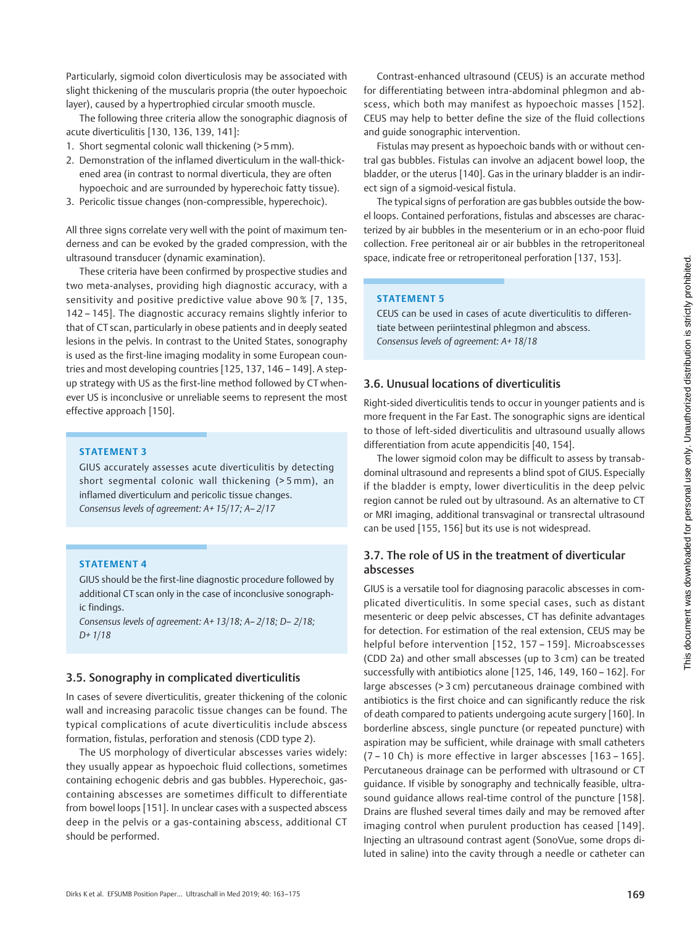Particularly, sigmoid colon diverticulosis may be associated with slight thickening of the muscularis propria (the outer hypoechoic layer), caused by a hypertrophied circular smooth muscle.

The following three criteria allow the sonographic diagnosis of acute diverticulitis [130, 136, 139, 141]:

- 1. Short segmental colonic wall thickening (> 5 mm).
- 2. Demonstration of the inflamed diverticulum in the wall-thickened area (in contrast to normal diverticula, they are often hypoechoic and are surrounded by hyperechoic fatty tissue).
- 3. Pericolic tissue changes (non-compressible, hyperechoic).

All three signs correlate very well with the point of maximum tenderness and can be evoked by the graded compression, with the ultrasound transducer (dynamic examination).

These criteria have been confirmed by prospective studies and two meta-analyses, providing high diagnostic accuracy, with a sensitivity and positive predictive value above 90 % [7, 135, 142 – 145]. The diagnostic accuracy remains slightly inferior to that of CT scan, particularly in obese patients and in deeply seated lesions in the pelvis. In contrast to the United States, sonography is used as the first-line imaging modality in some European countries and most developing countries [125, 137, 146 – 149]. A stepup strategy with US as the first-line method followed by CT whenever US is inconclusive or unreliable seems to represent the most effective approach [150].

## STATEMENT 3

GIUS accurately assesses acute diverticulitis by detecting short segmental colonic wall thickening (> 5 mm), an inflamed diverticulum and pericolic tissue changes. Consensus levels of agreement: A+ 15/17; A– 2/17

#### STATEMENT 4

GIUS should be the first-line diagnostic procedure followed by additional CT scan only in the case of inconclusive sonographic findings.

Consensus levels of agreement: A+ 13/18; A– 2/18; D– 2/18; D+ 1/18

# 3.5. Sonography in complicated diverticulitis

In cases of severe diverticulitis, greater thickening of the colonic wall and increasing paracolic tissue changes can be found. The typical complications of acute diverticulitis include abscess formation, fistulas, perforation and stenosis (CDD type 2).

The US morphology of diverticular abscesses varies widely: they usually appear as hypoechoic fluid collections, sometimes containing echogenic debris and gas bubbles. Hyperechoic, gascontaining abscesses are sometimes difficult to differentiate from bowel loops [151]. In unclear cases with a suspected abscess deep in the pelvis or a gas-containing abscess, additional CT should be performed.

Contrast-enhanced ultrasound (CEUS) is an accurate method for differentiating between intra-abdominal phlegmon and abscess, which both may manifest as hypoechoic masses [152]. CEUS may help to better define the size of the fluid collections and guide sonographic intervention.

Fistulas may present as hypoechoic bands with or without central gas bubbles. Fistulas can involve an adjacent bowel loop, the bladder, or the uterus [140]. Gas in the urinary bladder is an indirect sign of a sigmoid-vesical fistula.

The typical signs of perforation are gas bubbles outside the bowel loops. Contained perforations, fistulas and abscesses are characterized by air bubbles in the mesenterium or in an echo-poor fluid collection. Free peritoneal air or air bubbles in the retroperitoneal space, indicate free or retroperitoneal perforation [137, 153].

#### STATEMENT 5

CEUS can be used in cases of acute diverticulitis to differentiate between periintestinal phlegmon and abscess. Consensus levels of agreement: A+ 18/18

# 3.6. Unusual locations of diverticulitis

Right-sided diverticulitis tends to occur in younger patients and is more frequent in the Far East. The sonographic signs are identical to those of left-sided diverticulitis and ultrasound usually allows differentiation from acute appendicitis [40, 154].

The lower sigmoid colon may be difficult to assess by transabdominal ultrasound and represents a blind spot of GIUS. Especially if the bladder is empty, lower diverticulitis in the deep pelvic region cannot be ruled out by ultrasound. As an alternative to CT or MRI imaging, additional transvaginal or transrectal ultrasound can be used [155, 156] but its use is not widespread.

# 3.7. The role of US in the treatment of diverticular abscesses

GIUS is a versatile tool for diagnosing paracolic abscesses in complicated diverticulitis. In some special cases, such as distant mesenteric or deep pelvic abscesses, CT has definite advantages for detection. For estimation of the real extension, CEUS may be helpful before intervention [152, 157 – 159]. Microabscesses (CDD 2a) and other small abscesses (up to 3 cm) can be treated successfully with antibiotics alone [125, 146, 149, 160 – 162]. For large abscesses (> 3 cm) percutaneous drainage combined with antibiotics is the first choice and can significantly reduce the risk of death compared to patients undergoing acute surgery [160]. In borderline abscess, single puncture (or repeated puncture) with aspiration may be sufficient, while drainage with small catheters (7 – 10 Ch) is more effective in larger abscesses [163 – 165]. Percutaneous drainage can be performed with ultrasound or CT guidance. If visible by sonography and technically feasible, ultrasound guidance allows real-time control of the puncture [158]. Drains are flushed several times daily and may be removed after imaging control when purulent production has ceased [149]. Injecting an ultrasound contrast agent (SonoVue, some drops diluted in saline) into the cavity through a needle or catheter can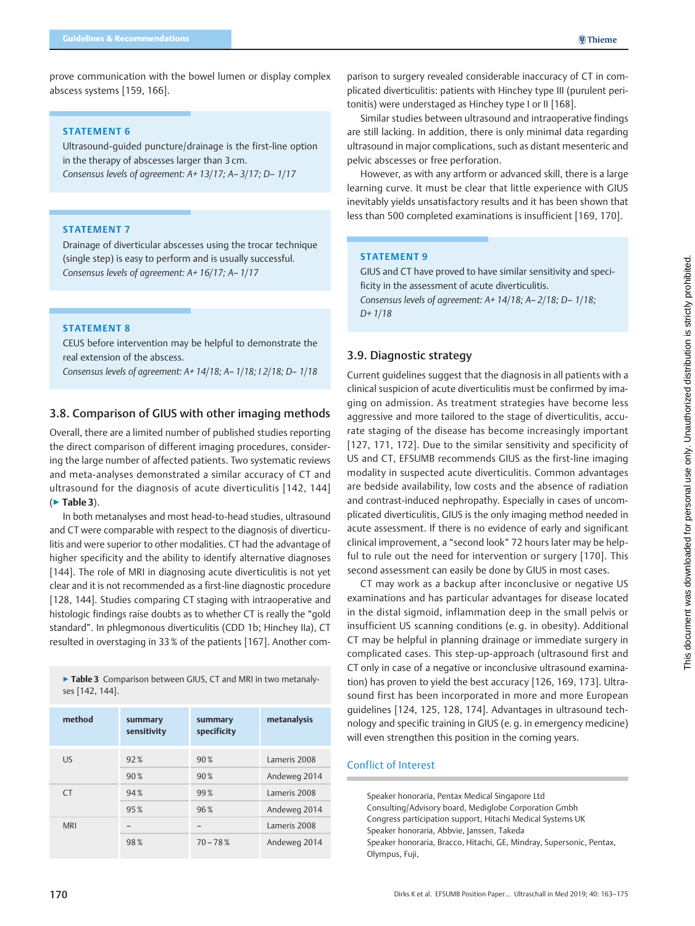prove communication with the bowel lumen or display complex abscess systems [159, 166].

#### STATEMENT 6

Ultrasound-guided puncture/drainage is the first-line option in the therapy of abscesses larger than 3 cm. Consensus levels of agreement: A+ 13/17; A– 3/17; D– 1/17

#### STATEMENT 7

Drainage of diverticular abscesses using the trocar technique (single step) is easy to perform and is usually successful. Consensus levels of agreement: A+ 16/17; A– 1/17

## STATEMENT 8

CEUS before intervention may be helpful to demonstrate the real extension of the abscess.

Consensus levels of agreement: A+ 14/18; A– 1/18; I 2/18; D– 1/18

# 3.8. Comparison of GIUS with other imaging methods

Overall, there are a limited number of published studies reporting the direct comparison of different imaging procedures, considering the large number of affected patients. Two systematic reviews and meta-analyses demonstrated a similar accuracy of CT and ultrasound for the diagnosis of acute diverticulitis [142, 144] (▶ Table 3).

In both metanalyses and most head-to-head studies, ultrasound and CT were comparable with respect to the diagnosis of diverticulitis and were superior to other modalities. CT had the advantage of higher specificity and the ability to identify alternative diagnoses [144]. The role of MRI in diagnosing acute diverticulitis is not yet clear and it is not recommended as a first-line diagnostic procedure [128, 144]. Studies comparing CT staging with intraoperative and histologic findings raise doubts as to whether CT is really the "gold standard". In phlegmonous diverticulitis (CDD 1b; Hinchey IIa), CT resulted in overstaging in 33 % of the patients [167]. Another com-

▶ Table 3 Comparison between GIUS, CT and MRI in two metanalyses [142, 144].

| method     | summary<br>sensitivity | summary<br>specificity | metanalysis  |
|------------|------------------------|------------------------|--------------|
| <b>US</b>  | 92%                    | 90%                    | Lameris 2008 |
|            | 90%                    | 90%                    | Andeweg 2014 |
| <b>CT</b>  | 94%                    | 99%                    | Lameris 2008 |
|            | 95%                    | 96%                    | Andeweg 2014 |
| <b>MRI</b> |                        |                        | Lameris 2008 |
|            | 98%                    | $70 - 78%$             | Andeweg 2014 |

parison to surgery revealed considerable inaccuracy of CT in complicated diverticulitis: patients with Hinchey type III (purulent peritonitis) were understaged as Hinchey type I or II [168].

Similar studies between ultrasound and intraoperative findings are still lacking. In addition, there is only minimal data regarding ultrasound in major complications, such as distant mesenteric and pelvic abscesses or free perforation.

However, as with any artform or advanced skill, there is a large learning curve. It must be clear that little experience with GIUS inevitably yields unsatisfactory results and it has been shown that less than 500 completed examinations is insufficient [169, 170].

#### STATEMENT 9

GIUS and CT have proved to have similar sensitivity and specificity in the assessment of acute diverticulitis. Consensus levels of agreement: A+ 14/18; A– 2/18; D– 1/18; D+ 1/18

## 3.9. Diagnostic strategy

Current guidelines suggest that the diagnosis in all patients with a clinical suspicion of acute diverticulitis must be confirmed by imaging on admission. As treatment strategies have become less aggressive and more tailored to the stage of diverticulitis, accurate staging of the disease has become increasingly important [127, 171, 172]. Due to the similar sensitivity and specificity of US and CT, EFSUMB recommends GIUS as the first-line imaging modality in suspected acute diverticulitis. Common advantages are bedside availability, low costs and the absence of radiation and contrast-induced nephropathy. Especially in cases of uncomplicated diverticulitis, GIUS is the only imaging method needed in acute assessment. If there is no evidence of early and significant clinical improvement, a "second look" 72 hours later may be helpful to rule out the need for intervention or surgery [170]. This second assessment can easily be done by GIUS in most cases.

CT may work as a backup after inconclusive or negative US examinations and has particular advantages for disease located in the distal sigmoid, inflammation deep in the small pelvis or insufficient US scanning conditions (e. g. in obesity). Additional CT may be helpful in planning drainage or immediate surgery in complicated cases. This step-up-approach (ultrasound first and CT only in case of a negative or inconclusive ultrasound examination) has proven to yield the best accuracy [126, 169, 173]. Ultrasound first has been incorporated in more and more European guidelines [124, 125, 128, 174]. Advantages in ultrasound technology and specific training in GIUS (e. g. in emergency medicine) will even strengthen this position in the coming years.

## Conflict of Interest

Speaker honoraria, Pentax Medical Singapore Ltd Consulting/Advisory board, Mediglobe Corporation Gmbh Congress participation support, Hitachi Medical Systems UK Speaker honoraria, Abbvie, Janssen, Takeda Speaker honoraria, Bracco, Hitachi, GE, Mindray, Supersonic, Pentax, Olympus, Fuji,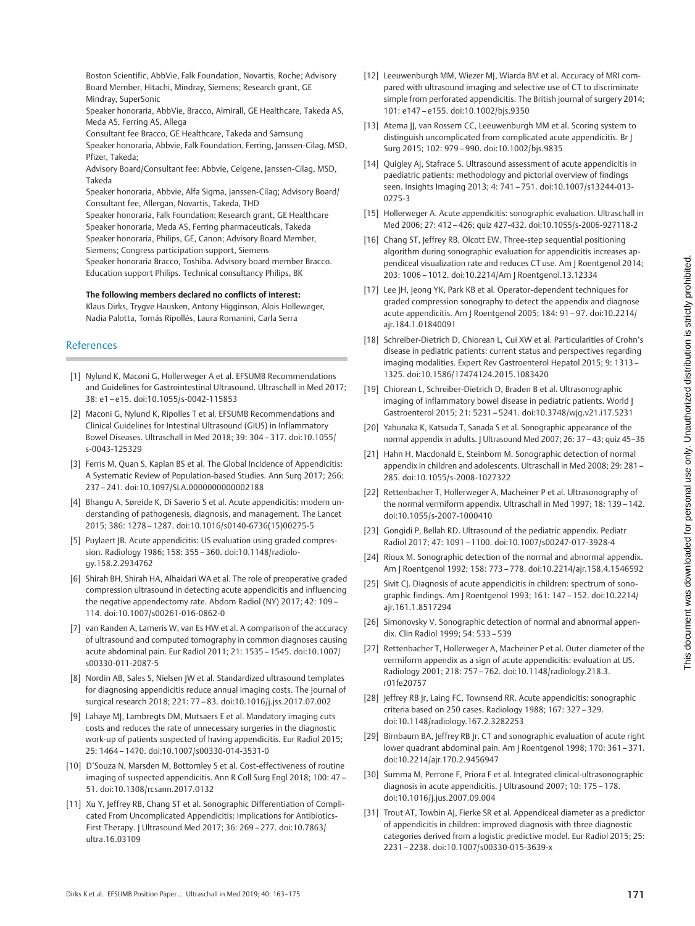Boston Scientific, AbbVie, Falk Foundation, Novartis, Roche; Advisory Board Member, Hitachi, Mindray, Siemens; Research grant, GE Mindray, SuperSonic

Speaker honoraria, AbbVie, Bracco, Almirall, GE Healthcare, Takeda AS, Meda AS, Ferring AS, Allega

Consultant fee Bracco, GE Healthcare, Takeda and Samsung

Speaker honoraria, Abbvie, Falk Foundation, Ferring, Janssen-Cilag, MSD, Pfizer, Takeda;

Advisory Board/Consultant fee: Abbvie, Celgene, Janssen-Cilag, MSD, Takeda

Speaker honoraria, Abbvie, Alfa Sigma, Janssen-Cilag; Advisory Board/ Consultant fee, Allergan, Novartis, Takeda, THD

Speaker honoraria, Falk Foundation; Research grant, GE Healthcare Speaker honoraria, Meda AS, Ferring pharmaceuticals, Takeda Speaker honoraria, Philips, GE, Canon; Advisory Board Member, Siemens; Congress participation support, Siemens Speaker honoraria Bracco, Toshiba. Advisory board member Bracco.

Education support Philips. Technical consultancy Philips, BK

#### The following members declared no conflicts of interest:

Klaus Dirks, Trygve Hausken, Antony Higginson, Alois Holleweger, Nadia Palotta, Tomás Ripollés, Laura Romanini, Carla Serra

#### References

- [1] Nylund K, Maconi G, Hollerweger A et al. EFSUMB Recommendations and Guidelines for Gastrointestinal Ultrasound. Ultraschall in Med 2017; 38: e1–e15. doi:10.1055/s-0042-115853
- [2] Maconi G, Nylund K, Ripolles T et al. EFSUMB Recommendations and Clinical Guidelines for Intestinal Ultrasound (GIUS) in Inflammatory Bowel Diseases. Ultraschall in Med 2018; 39: 304–317. doi:10.1055/ s-0043-125329
- [3] Ferris M, Quan S, Kaplan BS et al. The Global Incidence of Appendicitis: A Systematic Review of Population-based Studies. Ann Surg 2017; 266: 237–241. doi:10.1097/SLA.0000000000002188
- [4] Bhangu A, Søreide K, Di Saverio S et al. Acute appendicitis: modern understanding of pathogenesis, diagnosis, and management. The Lancet 2015; 386: 1278–1287. doi:10.1016/s0140-6736(15)00275-5
- [5] Puylaert JB. Acute appendicitis: US evaluation using graded compression. Radiology 1986; 158: 355–360. doi:10.1148/radiology.158.2.2934762
- [6] Shirah BH, Shirah HA, Alhaidari WA et al. The role of preoperative graded compression ultrasound in detecting acute appendicitis and influencing the negative appendectomy rate. Abdom Radiol (NY) 2017; 42: 109– 114. doi:10.1007/s00261-016-0862-0
- [7] van Randen A, Lameris W, van Es HW et al. A comparison of the accuracy of ultrasound and computed tomography in common diagnoses causing acute abdominal pain. Eur Radiol 2011; 21: 1535–1545. doi:10.1007/ s00330-011-2087-5
- [8] Nordin AB, Sales S, Nielsen JW et al. Standardized ultrasound templates for diagnosing appendicitis reduce annual imaging costs. The Journal of surgical research 2018; 221: 77–83. doi:10.1016/j.jss.2017.07.002
- [9] Lahaye MJ, Lambregts DM, Mutsaers E et al. Mandatory imaging cuts costs and reduces the rate of unnecessary surgeries in the diagnostic work-up of patients suspected of having appendicitis. Eur Radiol 2015; 25: 1464–1470. doi:10.1007/s00330-014-3531-0
- [10] D'Souza N, Marsden M, Bottomley S et al. Cost-effectiveness of routine imaging of suspected appendicitis. Ann R Coll Surg Engl 2018; 100: 47– 51. doi:10.1308/rcsann.2017.0132
- [11] Xu Y, Jeffrey RB, Chang ST et al. Sonographic Differentiation of Complicated From Uncomplicated Appendicitis: Implications for Antibiotics-First Therapy. J Ultrasound Med 2017; 36: 269–277. doi:10.7863/ ultra.16.03109
- [12] Leeuwenburgh MM, Wiezer MJ, Wiarda BM et al. Accuracy of MRI compared with ultrasound imaging and selective use of CT to discriminate simple from perforated appendicitis. The British journal of surgery 2014; 101: e147–e155. doi:10.1002/bjs.9350
- [13] Atema JJ, van Rossem CC, Leeuwenburgh MM et al. Scoring system to distinguish uncomplicated from complicated acute appendicitis. Br J Surg 2015; 102: 979–990. doi:10.1002/bjs.9835
- [14] Quigley AJ, Stafrace S. Ultrasound assessment of acute appendicitis in paediatric patients: methodology and pictorial overview of findings seen. Insights Imaging 2013; 4: 741 –751. doi:10.1007/s13244-013- 0275-3
- [15] Hollerweger A. Acute appendicitis: sonographic evaluation. Ultraschall in Med 2006; 27: 412– 426; quiz 427-432. doi:10.1055/s-2006-927118-2
- [16] Chang ST, Jeffrey RB, Olcott EW. Three-step sequential positioning algorithm during sonographic evaluation for appendicitis increases appendiceal visualization rate and reduces CT use. Am J Roentgenol 2014; 203: 1006–1012. doi:10.2214/Am J Roentgenol.13.12334
- [17] Lee JH, Jeong YK, Park KB et al. Operator-dependent techniques for graded compression sonography to detect the appendix and diagnose acute appendicitis. Am J Roentgenol 2005; 184: 91–97. doi:10.2214/ ajr.184.1.01840091
- [18] Schreiber-Dietrich D, Chiorean L, Cui XW et al. Particularities of Crohn's disease in pediatric patients: current status and perspectives regarding imaging modalities. Expert Rev Gastroenterol Hepatol 2015; 9: 1313– 1325. doi:10.1586/17474124.2015.1083420
- [19] Chiorean L, Schreiber-Dietrich D, Braden B et al. Ultrasonographic imaging of inflammatory bowel disease in pediatric patients. World J Gastroenterol 2015; 21: 5231–5241. doi:10.3748/wjg.v21.i17.5231
- [20] Yabunaka K, Katsuda T, Sanada S et al. Sonographic appearance of the normal appendix in adults. J Ultrasound Med 2007; 26: 37–43; quiz 45–36
- [21] Hahn H, Macdonald E, Steinborn M. Sonographic detection of normal appendix in children and adolescents. Ultraschall in Med 2008; 29: 281 – 285. doi:10.1055/s-2008-1027322
- [22] Rettenbacher T, Hollerweger A, Macheiner P et al. Ultrasonography of the normal vermiform appendix. Ultraschall in Med 1997; 18: 139–142. doi:10.1055/s-2007-1000410
- [23] Gongidi P, Bellah RD. Ultrasound of the pediatric appendix. Pediatr Radiol 2017; 47: 1091–1100. doi:10.1007/s00247-017-3928-4
- [24] Rioux M. Sonographic detection of the normal and abnormal appendix. Am J Roentgenol 1992; 158: 773–778. doi:10.2214/ajr.158.4.1546592
- [25] Sivit CJ. Diagnosis of acute appendicitis in children: spectrum of sonographic findings. Am J Roentgenol 1993; 161: 147–152. doi:10.2214/ ajr.161.1.8517294
- [26] Simonovsky V. Sonographic detection of normal and abnormal appendix. Clin Radiol 1999; 54: 533–539
- [27] Rettenbacher T, Hollerweger A, Macheiner P et al. Outer diameter of the vermiform appendix as a sign of acute appendicitis: evaluation at US. Radiology 2001; 218: 757–762. doi:10.1148/radiology.218.3. r01fe20757
- [28] Jeffrey RB Jr, Laing FC, Townsend RR. Acute appendicitis: sonographic criteria based on 250 cases. Radiology 1988; 167: 327–329. doi:10.1148/radiology.167.2.3282253
- [29] Birnbaum BA, Jeffrey RB Jr. CT and sonographic evaluation of acute right lower quadrant abdominal pain. Am J Roentgenol 1998; 170: 361–371. doi:10.2214/ajr.170.2.9456947
- [30] Summa M, Perrone F, Priora F et al. Integrated clinical-ultrasonographic diagnosis in acute appendicitis. J Ultrasound 2007; 10: 175–178. doi:10.1016/j.jus.2007.09.004
- [31] Trout AT, Towbin AJ, Fierke SR et al. Appendiceal diameter as a predictor of appendicitis in children: improved diagnosis with three diagnostic categories derived from a logistic predictive model. Eur Radiol 2015; 25: 2231–2238. doi:10.1007/s00330-015-3639-x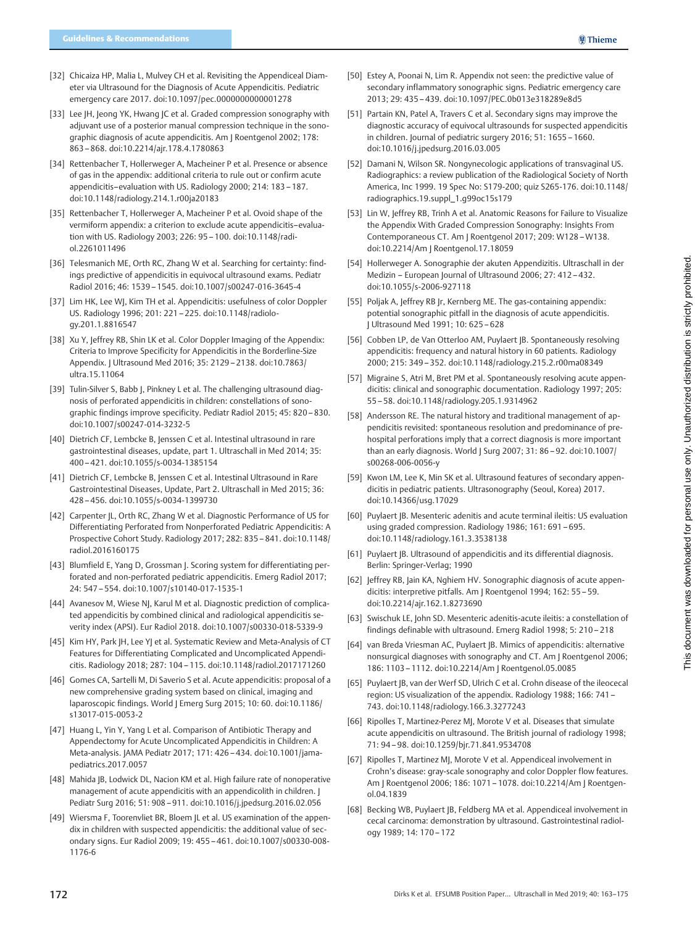- [32] Chicaiza HP, Malia L, Mulvey CH et al. Revisiting the Appendiceal Diameter via Ultrasound for the Diagnosis of Acute Appendicitis. Pediatric emergency care 2017. doi:10.1097/pec.0000000000001278
- [33] Lee JH, Jeong YK, Hwang JC et al. Graded compression sonography with adjuvant use of a posterior manual compression technique in the sonographic diagnosis of acute appendicitis. Am J Roentgenol 2002; 178: 863–868. doi:10.2214/ajr.178.4.1780863
- [34] Rettenbacher T, Hollerweger A, Macheiner P et al. Presence or absence of gas in the appendix: additional criteria to rule out or confirm acute appendicitis–evaluation with US. Radiology 2000; 214: 183–187. doi:10.1148/radiology.214.1.r00ja20183
- [35] Rettenbacher T, Hollerweger A, Macheiner P et al. Ovoid shape of the vermiform appendix: a criterion to exclude acute appendicitis–evaluation with US. Radiology 2003; 226: 95–100. doi:10.1148/radiol.2261011496
- [36] Telesmanich ME, Orth RC, Zhang W et al. Searching for certainty: findings predictive of appendicitis in equivocal ultrasound exams. Pediatr Radiol 2016; 46: 1539–1545. doi:10.1007/s00247-016-3645-4
- [37] Lim HK, Lee WJ, Kim TH et al. Appendicitis: usefulness of color Doppler US. Radiology 1996; 201: 221–225. doi:10.1148/radiology.201.1.8816547
- [38] Xu Y, Jeffrey RB, Shin LK et al. Color Doppler Imaging of the Appendix: Criteria to Improve Specificity for Appendicitis in the Borderline-Size Appendix. J Ultrasound Med 2016; 35: 2129–2138. doi:10.7863/ ultra.15.11064
- [39] Tulin-Silver S, Babb J, Pinkney L et al. The challenging ultrasound diagnosis of perforated appendicitis in children: constellations of sonographic findings improve specificity. Pediatr Radiol 2015; 45: 820–830. doi:10.1007/s00247-014-3232-5
- [40] Dietrich CF, Lembcke B, Jenssen C et al. Intestinal ultrasound in rare gastrointestinal diseases, update, part 1. Ultraschall in Med 2014; 35: 400–421. doi:10.1055/s-0034-1385154
- [41] Dietrich CF, Lembcke B, Jenssen C et al. Intestinal Ultrasound in Rare Gastrointestinal Diseases, Update, Part 2. Ultraschall in Med 2015; 36: 428–456. doi:10.1055/s-0034-1399730
- [42] Carpenter JL, Orth RC, Zhang W et al. Diagnostic Performance of US for Differentiating Perforated from Nonperforated Pediatric Appendicitis: A Prospective Cohort Study. Radiology 2017; 282: 835 –841. doi:10.1148/ radiol.2016160175
- [43] Blumfield E, Yang D, Grossman J. Scoring system for differentiating perforated and non-perforated pediatric appendicitis. Emerg Radiol 2017; 24: 547–554. doi:10.1007/s10140-017-1535-1
- [44] Avanesov M, Wiese NJ, Karul M et al. Diagnostic prediction of complicated appendicitis by combined clinical and radiological appendicitis severity index (APSI). Eur Radiol 2018. doi:10.1007/s00330-018-5339-9
- [45] Kim HY, Park JH, Lee YJ et al. Systematic Review and Meta-Analysis of CT Features for Differentiating Complicated and Uncomplicated Appendicitis. Radiology 2018; 287: 104–115. doi:10.1148/radiol.2017171260
- [46] Gomes CA, Sartelli M, Di Saverio S et al. Acute appendicitis: proposal of a new comprehensive grading system based on clinical, imaging and laparoscopic findings. World J Emerg Surg 2015; 10: 60. doi:10.1186/ s13017-015-0053-2
- [47] Huang L, Yin Y, Yang L et al. Comparison of Antibiotic Therapy and Appendectomy for Acute Uncomplicated Appendicitis in Children: A Meta-analysis. JAMA Pediatr 2017; 171: 426–434. doi:10.1001/jamapediatrics.2017.0057
- [48] Mahida JB, Lodwick DL, Nacion KM et al. High failure rate of nonoperative management of acute appendicitis with an appendicolith in children. J Pediatr Surg 2016; 51: 908 –911. doi:10.1016/j.jpedsurg.2016.02.056
- [49] Wiersma F, Toorenvliet BR, Bloem JL et al. US examination of the appendix in children with suspected appendicitis: the additional value of secondary signs. Eur Radiol 2009; 19: 455–461. doi:10.1007/s00330-008- 1176-6
- [50] Estey A, Poonai N, Lim R. Appendix not seen: the predictive value of secondary inflammatory sonographic signs. Pediatric emergency care 2013; 29: 435–439. doi:10.1097/PEC.0b013e318289e8d5
- [51] Partain KN, Patel A, Travers C et al. Secondary signs may improve the diagnostic accuracy of equivocal ultrasounds for suspected appendicitis in children. Journal of pediatric surgery 2016; 51: 1655 –1660. doi:10.1016/j.jpedsurg.2016.03.005
- [52] Damani N, Wilson SR. Nongynecologic applications of transvaginal US. Radiographics: a review publication of the Radiological Society of North America, Inc 1999. 19 Spec No: S179-200; quiz S265-176. doi:10.1148/ radiographics.19.suppl\_1.g99oc15s179
- [53] Lin W, Jeffrey RB, Trinh A et al. Anatomic Reasons for Failure to Visualize the Appendix With Graded Compression Sonography: Insights From Contemporaneous CT. Am J Roentgenol 2017; 209: W128–W138. doi:10.2214/Am J Roentgenol.17.18059
- [54] Hollerweger A. Sonographie der akuten Appendizitis. Ultraschall in der Medizin – European Journal of Ultrasound 2006; 27: 412–432. doi:10.1055/s-2006-927118
- [55] Poljak A, Jeffrey RB Jr, Kernberg ME. The gas-containing appendix: potential sonographic pitfall in the diagnosis of acute appendicitis. J Ultrasound Med 1991; 10: 625–628
- [56] Cobben LP, de Van Otterloo AM, Puylaert JB. Spontaneously resolving appendicitis: frequency and natural history in 60 patients. Radiology 2000; 215: 349–352. doi:10.1148/radiology.215.2.r00ma08349
- [57] Migraine S, Atri M, Bret PM et al. Spontaneously resolving acute appendicitis: clinical and sonographic documentation. Radiology 1997; 205: 55–58. doi:10.1148/radiology.205.1.9314962
- [58] Andersson RE. The natural history and traditional management of appendicitis revisited: spontaneous resolution and predominance of prehospital perforations imply that a correct diagnosis is more important than an early diagnosis. World J Surg 2007; 31: 86 –92. doi:10.1007/ s00268-006-0056-y
- [59] Kwon LM, Lee K, Min SK et al. Ultrasound features of secondary appendicitis in pediatric patients. Ultrasonography (Seoul, Korea) 2017. doi:10.14366/usg.17029
- [60] Puylaert JB. Mesenteric adenitis and acute terminal ileitis: US evaluation using graded compression. Radiology 1986; 161: 691 –695. doi:10.1148/radiology.161.3.3538138
- [61] Puylaert JB. Ultrasound of appendicitis and its differential diagnosis. Berlin: Springer-Verlag; 1990
- [62] Jeffrey RB, Jain KA, Nghiem HV. Sonographic diagnosis of acute appendicitis: interpretive pitfalls. Am J Roentgenol 1994; 162: 55–59. doi:10.2214/ajr.162.1.8273690
- [63] Swischuk LE, John SD. Mesenteric adenitis-acute ileitis: a constellation of findings definable with ultrasound. Emerg Radiol 1998; 5: 210–218
- [64] van Breda Vriesman AC, Puylaert JB. Mimics of appendicitis: alternative nonsurgical diagnoses with sonography and CT. Am J Roentgenol 2006; 186: 1103–1112. doi:10.2214/Am J Roentgenol.05.0085
- [65] Puylaert JB, van der Werf SD, Ulrich C et al. Crohn disease of the ileocecal region: US visualization of the appendix. Radiology 1988; 166: 741– 743. doi:10.1148/radiology.166.3.3277243
- [66] Ripolles T, Martinez-Perez MJ, Morote V et al. Diseases that simulate acute appendicitis on ultrasound. The British journal of radiology 1998; 71: 94–98. doi:10.1259/bjr.71.841.9534708
- [67] Ripolles T, Martinez MJ, Morote V et al. Appendiceal involvement in Crohn's disease: gray-scale sonography and color Doppler flow features. Am J Roentgenol 2006; 186: 1071–1078. doi:10.2214/Am J Roentgenol.04.1839
- [68] Becking WB, Puylaert JB, Feldberg MA et al. Appendiceal involvement in cecal carcinoma: demonstration by ultrasound. Gastrointestinal radiology 1989; 14: 170–172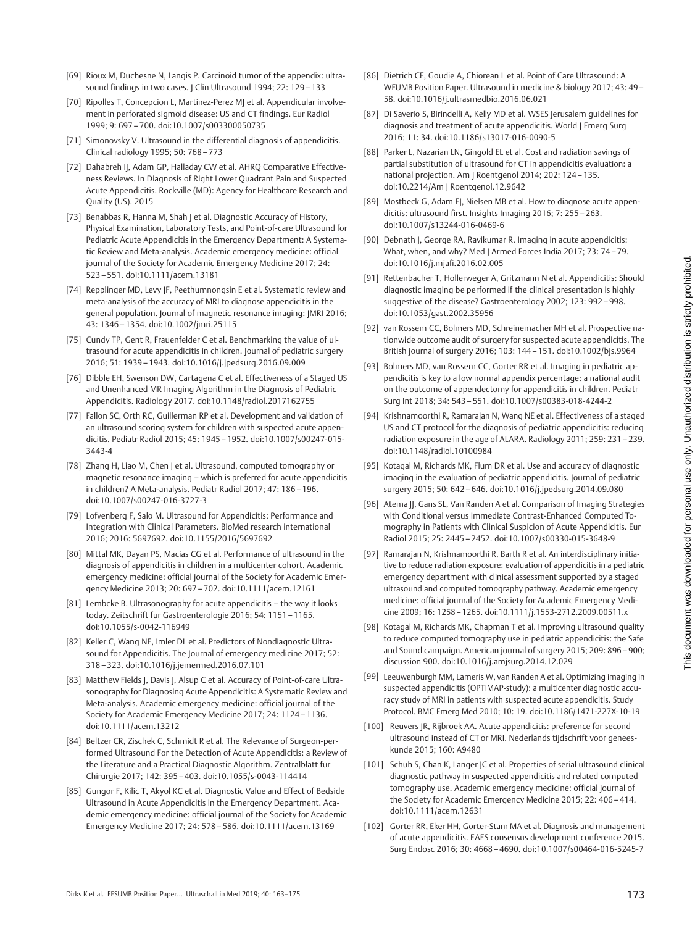- [69] Rioux M, Duchesne N, Langis P. Carcinoid tumor of the appendix: ultrasound findings in two cases. | Clin Ultrasound 1994; 22: 129 - 133
- [70] Ripolles T, Concepcion L, Martinez-Perez MJ et al. Appendicular involvement in perforated sigmoid disease: US and CT findings. Eur Radiol 1999; 9: 697–700. doi:10.1007/s003300050735
- [71] Simonovsky V. Ultrasound in the differential diagnosis of appendicitis. Clinical radiology 1995; 50: 768–773
- [72] Dahabreh II, Adam GP, Halladay CW et al. AHRO Comparative Effectiveness Reviews. In Diagnosis of Right Lower Quadrant Pain and Suspected Acute Appendicitis. Rockville (MD): Agency for Healthcare Research and Quality (US). 2015
- [73] Benabbas R, Hanna M, Shah J et al. Diagnostic Accuracy of History, Physical Examination, Laboratory Tests, and Point-of-care Ultrasound for Pediatric Acute Appendicitis in the Emergency Department: A Systematic Review and Meta-analysis. Academic emergency medicine: official journal of the Society for Academic Emergency Medicine 2017; 24: 523–551. doi:10.1111/acem.13181
- [74] Repplinger MD, Levy JF, Peethumnongsin E et al. Systematic review and meta-analysis of the accuracy of MRI to diagnose appendicitis in the general population. Journal of magnetic resonance imaging: JMRI 2016; 43: 1346–1354. doi:10.1002/jmri.25115
- [75] Cundy TP, Gent R, Frauenfelder C et al. Benchmarking the value of ultrasound for acute appendicitis in children. Journal of pediatric surgery 2016; 51: 1939–1943. doi:10.1016/j.jpedsurg.2016.09.009
- [76] Dibble EH, Swenson DW, Cartagena C et al. Effectiveness of a Staged US and Unenhanced MR Imaging Algorithm in the Diagnosis of Pediatric Appendicitis. Radiology 2017. doi:10.1148/radiol.2017162755
- [77] Fallon SC, Orth RC, Guillerman RP et al. Development and validation of an ultrasound scoring system for children with suspected acute appendicitis. Pediatr Radiol 2015; 45: 1945–1952. doi:10.1007/s00247-015- 3443-4
- [78] Zhang H, Liao M, Chen J et al. Ultrasound, computed tomography or magnetic resonance imaging – which is preferred for acute appendicitis in children? A Meta-analysis. Pediatr Radiol 2017; 47: 186 –196. doi:10.1007/s00247-016-3727-3
- [79] Lofvenberg F, Salo M. Ultrasound for Appendicitis: Performance and Integration with Clinical Parameters. BioMed research international 2016; 2016: 5697692. doi:10.1155/2016/5697692
- [80] Mittal MK, Dayan PS, Macias CG et al. Performance of ultrasound in the diagnosis of appendicitis in children in a multicenter cohort. Academic emergency medicine: official journal of the Society for Academic Emergency Medicine 2013; 20: 697–702. doi:10.1111/acem.12161
- [81] Lembcke B. Ultrasonography for acute appendicitis the way it looks today. Zeitschrift fur Gastroenterologie 2016; 54: 1151–1165. doi:10.1055/s-0042-116949
- [82] Keller C, Wang NE, Imler DL et al. Predictors of Nondiagnostic Ultrasound for Appendicitis. The Journal of emergency medicine 2017; 52: 318–323. doi:10.1016/j.jemermed.2016.07.101
- [83] Matthew Fields J, Davis J, Alsup C et al. Accuracy of Point-of-care Ultrasonography for Diagnosing Acute Appendicitis: A Systematic Review and Meta-analysis. Academic emergency medicine: official journal of the Society for Academic Emergency Medicine 2017; 24: 1124–1136. doi:10.1111/acem.13212
- [84] Beltzer CR, Zischek C, Schmidt R et al. The Relevance of Surgeon-performed Ultrasound For the Detection of Acute Appendicitis: a Review of the Literature and a Practical Diagnostic Algorithm. Zentralblatt fur Chirurgie 2017; 142: 395–403. doi:10.1055/s-0043-114414
- [85] Gungor F, Kilic T, Akyol KC et al. Diagnostic Value and Effect of Bedside Ultrasound in Acute Appendicitis in the Emergency Department. Academic emergency medicine: official journal of the Society for Academic Emergency Medicine 2017; 24: 578–586. doi:10.1111/acem.13169
- [86] Dietrich CF, Goudie A, Chiorean L et al. Point of Care Ultrasound: A WFUMB Position Paper. Ultrasound in medicine & biology 2017; 43: 49– 58. doi:10.1016/j.ultrasmedbio.2016.06.021
- [87] Di Saverio S, Birindelli A, Kelly MD et al. WSES Jerusalem quidelines for diagnosis and treatment of acute appendicitis. World J Emerg Surg 2016; 11: 34. doi:10.1186/s13017-016-0090-5
- [88] Parker L, Nazarian LN, Gingold EL et al. Cost and radiation savings of partial substitution of ultrasound for CT in appendicitis evaluation: a national projection. Am J Roentgenol 2014; 202: 124–135. doi:10.2214/Am J Roentgenol.12.9642
- [89] Mostbeck G, Adam EJ, Nielsen MB et al. How to diagnose acute appendicitis: ultrasound first. Insights Imaging 2016; 7: 255–263. doi:10.1007/s13244-016-0469-6
- [90] Debnath J, George RA, Ravikumar R. Imaging in acute appendicitis: What, when, and why? Med J Armed Forces India 2017; 73: 74–79. doi:10.1016/j.mjafi.2016.02.005
- [91] Rettenbacher T, Hollerweger A, Gritzmann N et al. Appendicitis: Should diagnostic imaging be performed if the clinical presentation is highly suggestive of the disease? Gastroenterology 2002; 123: 992–998. doi:10.1053/gast.2002.35956
- [92] van Rossem CC, Bolmers MD, Schreinemacher MH et al. Prospective nationwide outcome audit of surgery for suspected acute appendicitis. The British journal of surgery 2016; 103: 144–151. doi:10.1002/bjs.9964
- [93] Bolmers MD, van Rossem CC, Gorter RR et al. Imaging in pediatric appendicitis is key to a low normal appendix percentage: a national audit on the outcome of appendectomy for appendicitis in children. Pediatr Surg Int 2018; 34: 543–551. doi:10.1007/s00383-018-4244-2
- [94] Krishnamoorthi R, Ramarajan N, Wang NE et al. Effectiveness of a staged US and CT protocol for the diagnosis of pediatric appendicitis: reducing radiation exposure in the age of ALARA. Radiology 2011; 259: 231–239. doi:10.1148/radiol.10100984
- [95] Kotagal M, Richards MK, Flum DR et al. Use and accuracy of diagnostic imaging in the evaluation of pediatric appendicitis. Journal of pediatric surgery 2015; 50: 642–646. doi:10.1016/j.jpedsurg.2014.09.080
- [96] Atema JJ, Gans SL, Van Randen A et al. Comparison of Imaging Strategies with Conditional versus Immediate Contrast-Enhanced Computed Tomography in Patients with Clinical Suspicion of Acute Appendicitis. Eur Radiol 2015; 25: 2445 –2452. doi:10.1007/s00330-015-3648-9
- [97] Ramarajan N, Krishnamoorthi R, Barth R et al. An interdisciplinary initiative to reduce radiation exposure: evaluation of appendicitis in a pediatric emergency department with clinical assessment supported by a staged ultrasound and computed tomography pathway. Academic emergency medicine: official journal of the Society for Academic Emergency Medicine 2009; 16: 1258 –1265. doi:10.1111/j.1553-2712.2009.00511.x
- [98] Kotagal M, Richards MK, Chapman T et al. Improving ultrasound quality to reduce computed tomography use in pediatric appendicitis: the Safe and Sound campaign. American journal of surgery 2015; 209: 896–900; discussion 900. doi:10.1016/j.amjsurg.2014.12.029
- [99] Leeuwenburgh MM, Lameris W, van Randen A et al. Optimizing imaging in suspected appendicitis (OPTIMAP-study): a multicenter diagnostic accuracy study of MRI in patients with suspected acute appendicitis. Study Protocol. BMC Emerg Med 2010; 10: 19. doi:10.1186/1471-227X-10-19
- [100] Reuvers JR, Rijbroek AA. Acute appendicitis: preference for second ultrasound instead of CT or MRI. Nederlands tijdschrift voor geneeskunde 2015; 160: A9480
- [101] Schuh S, Chan K, Langer JC et al. Properties of serial ultrasound clinical diagnostic pathway in suspected appendicitis and related computed tomography use. Academic emergency medicine: official journal of the Society for Academic Emergency Medicine 2015; 22: 406–414. doi:10.1111/acem.12631
- [102] Gorter RR, Eker HH, Gorter-Stam MA et al. Diagnosis and management of acute appendicitis. EAES consensus development conference 2015. Surg Endosc 2016; 30: 4668–4690. doi:10.1007/s00464-016-5245-7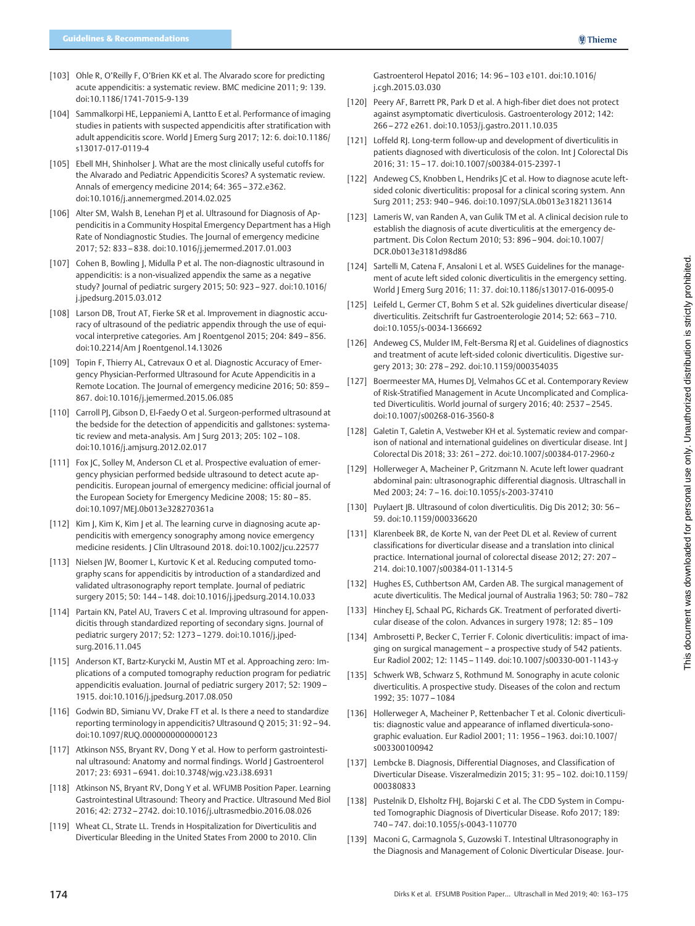- [103] Ohle R, O'Reilly F, O'Brien KK et al. The Alvarado score for predicting acute appendicitis: a systematic review. BMC medicine 2011; 9: 139. doi:10.1186/1741-7015-9-139
- [104] Sammalkorpi HE, Leppaniemi A, Lantto E et al. Performance of imaging studies in patients with suspected appendicitis after stratification with adult appendicitis score. World | Emerg Surg 2017; 12: 6. doi:10.1186/ s13017-017-0119-4
- [105] Ebell MH, Shinholser J. What are the most clinically useful cutoffs for the Alvarado and Pediatric Appendicitis Scores? A systematic review. Annals of emergency medicine 2014; 64: 365–372.e362. doi:10.1016/j.annemergmed.2014.02.025
- [106] Alter SM, Walsh B, Lenehan P| et al. Ultrasound for Diagnosis of Appendicitis in a Community Hospital Emergency Department has a High Rate of Nondiagnostic Studies. The Journal of emergency medicine 2017; 52: 833–838. doi:10.1016/j.jemermed.2017.01.003
- [107] Cohen B, Bowling J, Midulla P et al. The non-diagnostic ultrasound in appendicitis: is a non-visualized appendix the same as a negative study? Journal of pediatric surgery 2015; 50: 923–927. doi:10.1016/ j.jpedsurg.2015.03.012
- [108] Larson DB, Trout AT, Fierke SR et al. Improvement in diagnostic accuracy of ultrasound of the pediatric appendix through the use of equivocal interpretive categories. Am J Roentgenol 2015; 204: 849 –856. doi:10.2214/Am J Roentgenol.14.13026
- [109] Topin F, Thierry AL, Catrevaux O et al. Diagnostic Accuracy of Emergency Physician-Performed Ultrasound for Acute Appendicitis in a Remote Location. The Journal of emergency medicine 2016; 50: 859 -867. doi:10.1016/j.jemermed.2015.06.085
- [110] Carroll PJ, Gibson D, El-Faedy O et al. Surgeon-performed ultrasound at the bedside for the detection of appendicitis and gallstones: systematic review and meta-analysis. Am | Surg 2013; 205: 102 - 108. doi:10.1016/j.amjsurg.2012.02.017
- [111] Fox JC, Solley M, Anderson CL et al. Prospective evaluation of emergency physician performed bedside ultrasound to detect acute appendicitis. European journal of emergency medicine: official journal of the European Society for Emergency Medicine 2008; 15: 80 –85. doi:10.1097/MEJ.0b013e328270361a
- [112] Kim J, Kim K, Kim J et al. The learning curve in diagnosing acute appendicitis with emergency sonography among novice emergency medicine residents. | Clin Ultrasound 2018. doi:10.1002/jcu.22577
- [113] Nielsen JW, Boomer L, Kurtovic K et al. Reducing computed tomography scans for appendicitis by introduction of a standardized and validated ultrasonography report template. Journal of pediatric surgery 2015; 50: 144–148. doi:10.1016/j.jpedsurg.2014.10.033
- [114] Partain KN, Patel AU, Travers C et al. Improving ultrasound for appendicitis through standardized reporting of secondary signs. Journal of pediatric surgery 2017; 52: 1273–1279. doi:10.1016/j.jpedsurg.2016.11.045
- [115] Anderson KT, Bartz-Kurycki M, Austin MT et al. Approaching zero: Implications of a computed tomography reduction program for pediatric appendicitis evaluation. Journal of pediatric surgery 2017; 52: 1909 – 1915. doi:10.1016/j.jpedsurg.2017.08.050
- [116] Godwin BD, Simianu VV, Drake FT et al. Is there a need to standardize reporting terminology in appendicitis? Ultrasound Q 2015; 31: 92–94. doi:10.1097/RUQ.0000000000000123
- [117] Atkinson NSS, Bryant RV, Dong Y et al. How to perform gastrointestinal ultrasound: Anatomy and normal findings. World J Gastroenterol 2017; 23: 6931–6941. doi:10.3748/wjg.v23.i38.6931
- [118] Atkinson NS, Bryant RV, Dong Y et al. WFUMB Position Paper. Learning Gastrointestinal Ultrasound: Theory and Practice. Ultrasound Med Biol 2016; 42: 2732–2742. doi:10.1016/j.ultrasmedbio.2016.08.026
- [119] Wheat CL, Strate LL. Trends in Hospitalization for Diverticulitis and Diverticular Bleeding in the United States From 2000 to 2010. Clin

Gastroenterol Hepatol 2016; 14: 96–103 e101. doi:10.1016/ j.cgh.2015.03.030

- [120] Peery AF, Barrett PR, Park D et al. A high-fiber diet does not protect against asymptomatic diverticulosis. Gastroenterology 2012; 142: 266–272 e261. doi:10.1053/j.gastro.2011.10.035
- [121] Loffeld RJ. Long-term follow-up and development of diverticulitis in patients diagnosed with diverticulosis of the colon. Int | Colorectal Dis 2016; 31: 15–17. doi:10.1007/s00384-015-2397-1
- [122] Andeweg CS, Knobben L, Hendriks JC et al. How to diagnose acute leftsided colonic diverticulitis: proposal for a clinical scoring system. Ann Surg 2011; 253: 940–946. doi:10.1097/SLA.0b013e3182113614
- [123] Lameris W, van Randen A, van Gulik TM et al. A clinical decision rule to establish the diagnosis of acute diverticulitis at the emergency department. Dis Colon Rectum 2010; 53: 896–904. doi:10.1007/ DCR.0b013e3181d98d86
- [124] Sartelli M, Catena F, Ansaloni L et al. WSES Guidelines for the management of acute left sided colonic diverticulitis in the emergency setting. World J Emerg Surg 2016; 11: 37. doi:10.1186/s13017-016-0095-0
- [125] Leifeld L, Germer CT, Bohm S et al. S2k guidelines diverticular disease/ diverticulitis. Zeitschrift fur Gastroenterologie 2014; 52: 663–710. doi:10.1055/s-0034-1366692
- [126] Andeweg CS, Mulder IM, Felt-Bersma RJ et al. Guidelines of diagnostics and treatment of acute left-sided colonic diverticulitis. Digestive surgery 2013; 30: 278–292. doi:10.1159/000354035
- [127] Boermeester MA, Humes DJ, Velmahos GC et al. Contemporary Review of Risk-Stratified Management in Acute Uncomplicated and Complicated Diverticulitis. World journal of surgery 2016; 40: 2537–2545. doi:10.1007/s00268-016-3560-8
- [128] Galetin T, Galetin A, Vestweber KH et al. Systematic review and comparison of national and international guidelines on diverticular disease. Int J Colorectal Dis 2018; 33: 261 –272. doi:10.1007/s00384-017-2960-z
- [129] Hollerweger A, Macheiner P, Gritzmann N. Acute left lower quadrant abdominal pain: ultrasonographic differential diagnosis. Ultraschall in Med 2003; 24: 7–16. doi:10.1055/s-2003-37410
- [130] Puylaert JB. Ultrasound of colon diverticulitis. Dig Dis 2012; 30: 56 -59. doi:10.1159/000336620
- [131] Klarenbeek BR, de Korte N, van der Peet DL et al. Review of current classifications for diverticular disease and a translation into clinical practice. International journal of colorectal disease 2012; 27: 207– 214. doi:10.1007/s00384-011-1314-5
- [132] Hughes ES, Cuthbertson AM, Carden AB. The surgical management of acute diverticulitis. The Medical journal of Australia 1963; 50: 780 –782
- [133] Hinchey EJ, Schaal PG, Richards GK. Treatment of perforated diverticular disease of the colon. Advances in surgery 1978; 12: 85–109
- [134] Ambrosetti P, Becker C, Terrier F. Colonic diverticulitis: impact of imaging on surgical management – a prospective study of 542 patients. Eur Radiol 2002; 12: 1145–1149. doi:10.1007/s00330-001-1143-y
- [135] Schwerk WB, Schwarz S, Rothmund M. Sonography in acute colonic diverticulitis. A prospective study. Diseases of the colon and rectum 1992; 35: 1077–1084
- [136] Hollerweger A, Macheiner P, Rettenbacher T et al. Colonic diverticulitis: diagnostic value and appearance of inflamed diverticula-sonographic evaluation. Eur Radiol 2001; 11: 1956–1963. doi:10.1007/ s003300100942
- [137] Lembcke B. Diagnosis, Differential Diagnoses, and Classification of Diverticular Disease. Viszeralmedizin 2015; 31: 95–102. doi:10.1159/ 000380833
- [138] Pustelnik D, Elsholtz FHJ, Bojarski C et al. The CDD System in Computed Tomographic Diagnosis of Diverticular Disease. Rofo 2017; 189: 740–747. doi:10.1055/s-0043-110770
- [139] Maconi G, Carmagnola S, Guzowski T. Intestinal Ultrasonography in the Diagnosis and Management of Colonic Diverticular Disease. Jour-